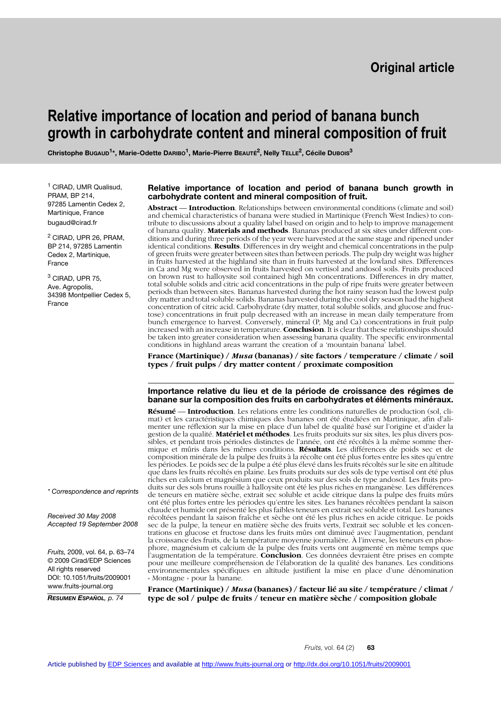# **Relative importance of location and period of banana bunch growth in carbohydrate content and mineral composition of fruit**

**Christophe BUGAUD1\*, Marie-Odette DARIBO1, Marie-Pierre BEAUTÉ2, Nelly TELLE2, Cécile DUBOIS3**

<sup>1</sup> CIRAD, UMR Qualisud, PRAM, BP 214, 97285 Lamentin Cedex 2, Martinique, France bugaud@cirad.fr

<sup>2</sup> CIRAD, UPR 26, PRAM, BP 214, 97285 Lamentin Cedex 2, Martinique, France

<sup>3</sup> CIRAD, UPR 75, Ave. Agropolis, 34398 Montpellier Cedex 5, France

*\* Correspondence and reprints*

*Received 30 May 2008 Accepted 19 September 2008*

*Fruits,* 2009, vol. 64, p. 63–74 © 2009 Cirad/EDP Sciences All rights reserved DOI: 10.1051/fruits/2009001 www.fruits-journal.org

*RESUMEN ESPAÑOL, p. 74*

#### **Relative importance of location and period of banana bunch growth in carbohydrate content and mineral composition of fruit.**

**Abstract** –– **Introduction**. Relationships between environmental conditions (climate and soil) and chemical characteristics of banana were studied in Martinique (French West Indies) to contribute to discussions about a quality label based on origin and to help to improve management of banana quality. **Materials and methods**. Bananas produced at six sites under different conditions and during three periods of the year were harvested at the same stage and ripened under identical conditions. **Results**. Differences in dry weight and chemical concentrations in the pulp of green fruits were greater between sites than between periods. The pulp dry weight was higher in fruits harvested at the highland site than in fruits harvested at the lowland sites. Differences in Ca and Mg were observed in fruits harvested on vertisol and andosol soils. Fruits produced on brown rust to halloysite soil contained high Mn concentrations. Differences in dry matter, total soluble solids and citric acid concentrations in the pulp of ripe fruits were greater between periods than between sites. Bananas harvested during the hot rainy season had the lowest pulp dry matter and total soluble solids. Bananas harvested during the cool dry season had the highest concentration of citric acid. Carbohydrate (dry matter, total soluble solids, and glucose and fructose) concentrations in fruit pulp decreased with an increase in mean daily temperature from bunch emergence to harvest. Conversely, mineral (P, Mg and Ca) concentrations in fruit pulp increased with an increase in temperature. **Conclusion**. It is clear that these relationships should be taken into greater consideration when assessing banana quality. The specific environmental conditions in highland areas warrant the creation of a 'mountain banana' label.

**France (Martinique) /** *Musa* **(bananas) / site factors / temperature / climate / soil types / fruit pulps / dry matter content / proximate composition**

### **Importance relative du lieu et de la période de croissance des régimes de banane sur la composition des fruits en carbohydrates et éléments minéraux.**

**Résumé** –– **Introduction**. Les relations entre les conditions naturelles de production (sol, climat) et les caractéristiques chimiques des bananes ont été étudiées en Martinique, afin d'alimenter une réflexion sur la mise en place d'un label de qualité basé sur l'origine et d'aider la gestion de la qualité. **Matériel et méthodes**. Les fruits produits sur six sites, les plus divers possibles, et pendant trois périodes distinctes de l'année, ont été récoltés à la même somme thermique et mûris dans les mêmes conditions. **Résultats**. Les différences de poids sec et de composition minérale de la pulpe des fruits à la récolte ont été plus fortes entre les sites qu'entre les périodes. Le poids sec de la pulpe a été plus élevé dans les fruits récoltés sur le site en altitude que dans les fruits récoltés en plaine. Les fruits produits sur des sols de type vertisol ont été plus riches en calcium et magnésium que ceux produits sur des sols de type andosol. Les fruits produits sur des sols bruns rouille à halloysite ont été les plus riches en manganèse. Les différences de teneurs en matière sèche, extrait sec soluble et acide citrique dans la pulpe des fruits mûrs ont été plus fortes entre les périodes qu'entre les sites. Les bananes récoltées pendant la saison chaude et humide ont présenté les plus faibles teneurs en extrait sec soluble et total. Les bananes récoltées pendant la saison fraîche et sèche ont été les plus riches en acide citrique. Le poids sec de la pulpe, la teneur en matière sèche des fruits verts, l'extrait sec soluble et les concentrations en glucose et fructose dans les fruits mûrs ont diminué avec l'augmentation, pendant la croissance des fruits, de la température moyenne journalière. À l'inverse, les teneurs en phosphore, magnésium et calcium de la pulpe des fruits verts ont augmenté en même temps que l'augmentation de la température. **Conclusion**. Ces données devraient être prises en compte pour une meilleure compréhension de l'élaboration de la qualité des bananes. Les conditions environnementales spécifiques en altitude justifient la mise en place d'une dénomination « Montagne » pour la banane.

**France (Martinique) /** *Musa* **(bananes) / facteur lié au site / température / climat / type de sol / pulpe de fruits / teneur en matière sèche / composition globale**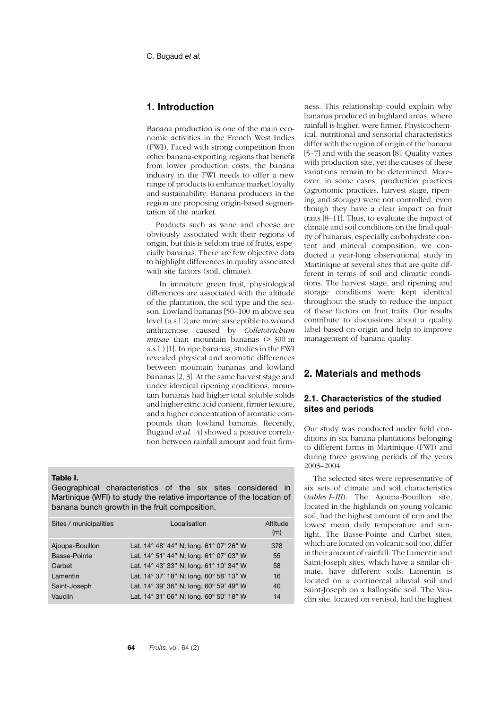# **1. Introduction**

Banana production is one of the main economic activities in the French West Indies (FWI). Faced with strong competition from other banana-exporting regions that benefit from lower production costs, the banana industry in the FWI needs to offer a new range of products to enhance market loyalty and sustainability. Banana producers in the region are proposing origin-based segmentation of the market.

Products such as wine and cheese are obviously associated with their regions of origin, but this is seldom true of fruits, especially bananas. There are few objective data to highlight differences in quality associated with site factors (soil, climate).

 In immature green fruit, physiological differences are associated with the altitude of the plantation, the soil type and the season. Lowland bananas [50–100 m above sea level (a.s.l.)] are more susceptible to wound anthracnose caused by *Colletotrichum musae* than mountain bananas (> 300 m a.s.l.) [1]. In ripe bananas, studies in the FWI revealed physical and aromatic differences between mountain bananas and lowland bananas [2, 3]. At the same harvest stage and under identical ripening conditions, mountain bananas had higher total soluble solids and higher citric acid content, firmer texture, and a higher concentration of aromatic compounds than lowland bananas. Recently, Bugaud *et al.* [4] showed a positive correlation between rainfall amount and fruit firm-

#### **Table I.**

Geographical characteristics of the six sites considered in Martinique (WFI) to study the relative importance of the location of banana bunch growth in the fruit composition.

| Sites / municipalities | Localisation                            | Altitude<br>(m) |
|------------------------|-----------------------------------------|-----------------|
| Ajoupa-Bouillon        | Lat. 14° 48' 44" N; long. 61° 07' 26" W | 378             |
| Basse-Pointe           | Lat. 14° 51' 44" N; long. 61° 07' 03" W | 55              |
| Carbet                 | Lat. 14° 43' 33" N; long. 61° 10' 34" W | 58              |
| Lamentin               | Lat. 14° 37' 18" N; long. 60° 58' 13" W | 16              |
| Saint-Joseph           | Lat. 14° 39' 36" N; long. 60° 59' 49" W | 40              |
| Vauclin                | Lat. 14° 31' 06" N; long. 60° 50' 18" W | 14              |

ness. This relationship could explain why bananas produced in highland areas, where rainfall is higher, were firmer. Physicochemical, nutritional and sensorial characteristics differ with the region of origin of the banana [5–7] and with the season [8]. Quality varies with production site, yet the causes of these variations remain to be determined. Moreover, in some cases, production practices (agronomic practices, harvest stage, ripening and storage) were not controlled, even though they have a clear impact on fruit traits [8–11]. Thus, to evaluate the impact of climate and soil conditions on the final quality of bananas, especially carbohydrate content and mineral composition, we conducted a year-long observational study in Martinique at several sites that are quite different in terms of soil and climatic conditions. The harvest stage, and ripening and storage conditions were kept identical throughout the study to reduce the impact of these factors on fruit traits. Our results contribute to discussions about a quality label based on origin and help to improve management of banana quality.

# **2. Materials and methods**

# **2.1. Characteristics of the studied sites and periods**

Our study was conducted under field conditions in six banana plantations belonging to different farms in Martinique (FWI) and during three growing periods of the years 2003–2004.

The selected sites were representative of six sets of climate and soil characteristics (*tables I–III*). The Ajoupa-Bouillon site, located in the highlands on young volcanic soil, had the highest amount of rain and the lowest mean daily temperature and sunlight. The Basse-Pointe and Carbet sites, which are located on volcanic soil too, differ in their amount of rainfall. The Lamentin and Saint-Joseph sites, which have a similar climate, have different soils: Lamentin is located on a continental alluvial soil and Saint-Joseph on a halloysitic soil. The Vauclin site, located on vertisol, had the highest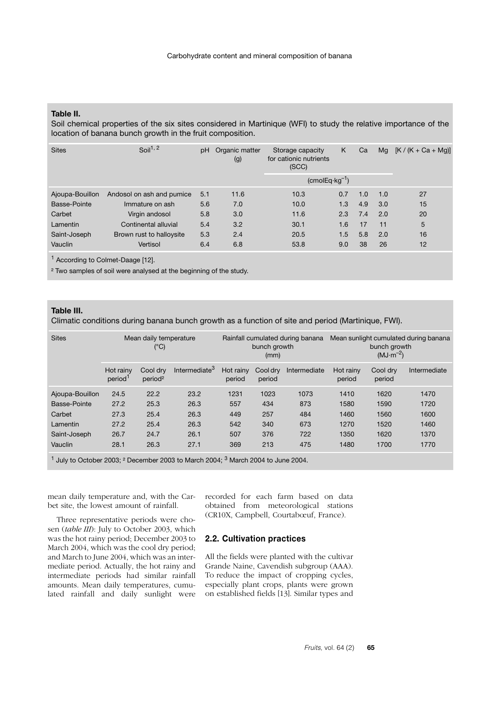### **Table II.**

Soil chemical properties of the six sites considered in Martinique (WFI) to study the relative importance of the location of banana bunch growth in the fruit composition.

| <b>Sites</b>    | Soil $1, 2$               | рH  | Organic matter<br>(g) | Storage capacity<br>for cationic nutrients<br>(SCC) | K   | Ca  | Mg  | $[K/(K + Ca + Mg)]$ |
|-----------------|---------------------------|-----|-----------------------|-----------------------------------------------------|-----|-----|-----|---------------------|
|                 |                           |     |                       | $(cmolEq·kg-1)$                                     |     |     |     |                     |
| Ajoupa-Bouillon | Andosol on ash and pumice | 5.1 | 11.6                  | 10.3                                                | 0.7 | 1.0 | 1.0 | 27                  |
| Basse-Pointe    | Immature on ash           | 5.6 | 7.0                   | 10.0                                                | 1.3 | 4.9 | 3.0 | 15                  |
| Carbet          | Virgin andosol            | 5.8 | 3.0                   | 11.6                                                | 2.3 | 7.4 | 2.0 | 20                  |
| Lamentin        | Continental alluvial      | 5.4 | 3.2                   | 30.1                                                | 1.6 | 17  | 11  | 5                   |
| Saint-Joseph    | Brown rust to halloysite  | 5.3 | 2.4                   | 20.5                                                | 1.5 | 5.8 | 2.0 | 16                  |
| Vauclin         | Vertisol                  | 6.4 | 6.8                   | 53.8                                                | 9.0 | 38  | 26  | 12                  |

1 According to Colmet-Daage [12].

² Two samples of soil were analysed at the beginning of the study.

## **Table III.**

Climatic conditions during banana bunch growth as a function of site and period (Martinique, FWI).

| <b>Sites</b>    |                                  | Mean daily temperature<br>(°C)  |                           |                     | bunch growth<br>(mm) | Rainfall cumulated during banana |                     | bunch growth<br>$(MJ\cdot m^{-2})$ | Mean sunlight cumulated during banana |
|-----------------|----------------------------------|---------------------------------|---------------------------|---------------------|----------------------|----------------------------------|---------------------|------------------------------------|---------------------------------------|
|                 | Hot rainv<br>period <sup>1</sup> | Cool drv<br>period <sup>2</sup> | Intermediate <sup>3</sup> | Hot rainy<br>period | Cool drv<br>period   | Intermediate                     | Hot rainv<br>period | Cool drv<br>period                 | Intermediate                          |
| Ajoupa-Bouillon | 24.5                             | 22.2                            | 23.2                      | 1231                | 1023                 | 1073                             | 1410                | 1620                               | 1470                                  |
| Basse-Pointe    | 27.2                             | 25.3                            | 26.3                      | 557                 | 434                  | 873                              | 1580                | 1590                               | 1720                                  |
| Carbet          | 27.3                             | 25.4                            | 26.3                      | 449                 | 257                  | 484                              | 1460                | 1560                               | 1600                                  |
| Lamentin        | 27.2                             | 25.4                            | 26.3                      | 542                 | 340                  | 673                              | 1270                | 1520                               | 1460                                  |
| Saint-Joseph    | 26.7                             | 24.7                            | 26.1                      | 507                 | 376                  | 722                              | 1350                | 1620                               | 1370                                  |
| Vauclin         | 28.1                             | 26.3                            | 27.1                      | 369                 | 213                  | 475                              | 1480                | 1700                               | 1770                                  |

 $1$  July to October 2003;  $2$  December 2003 to March 2004;  $3$  March 2004 to June 2004.

mean daily temperature and, with the Carbet site, the lowest amount of rainfall.

Three representative periods were chosen (*table III*): July to October 2003, which was the hot rainy period; December 2003 to March 2004, which was the cool dry period; and March to June 2004, which was an intermediate period. Actually, the hot rainy and intermediate periods had similar rainfall amounts. Mean daily temperatures, cumulated rainfall and daily sunlight were recorded for each farm based on data obtained from meteorological stations (CR10X, Campbell, Courtabœuf, France).

## **2.2. Cultivation practices**

All the fields were planted with the cultivar Grande Naine, Cavendish subgroup (AAA). To reduce the impact of cropping cycles, especially plant crops, plants were grown on established fields [13]. Similar types and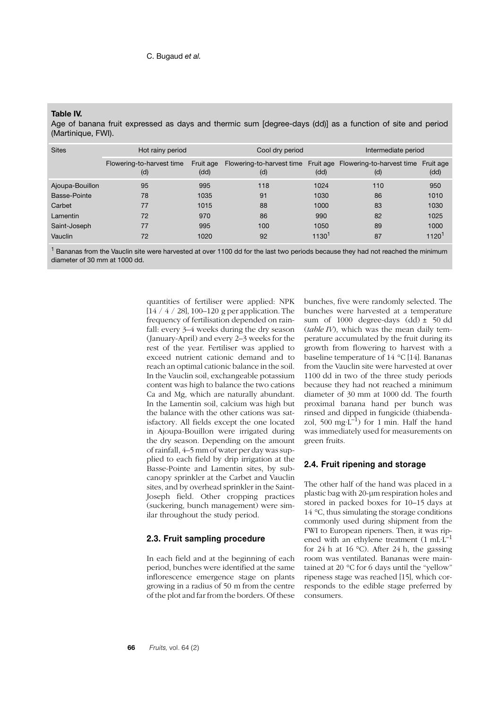### **Table IV.**

Age of banana fruit expressed as days and thermic sum [degree-days (dd)] as a function of site and period (Martinique, FWI).

| <b>Sites</b>    | Hot rainy period                 |                   | Cool dry period |                   | Intermediate period                                                  |                   |
|-----------------|----------------------------------|-------------------|-----------------|-------------------|----------------------------------------------------------------------|-------------------|
|                 | Flowering-to-harvest time<br>(d) | Fruit age<br>(dd) | (d)             | (dd)              | Flowering-to-harvest time Fruit age Flowering-to-harvest time<br>(d) | Fruit age<br>(dd) |
| Ajoupa-Bouillon | 95                               | 995               | 118             | 1024              | 110                                                                  | 950               |
| Basse-Pointe    | 78                               | 1035              | 91              | 1030              | 86                                                                   | 1010              |
| Carbet          | 77                               | 1015              | 88              | 1000              | 83                                                                   | 1030              |
| Lamentin        | 72                               | 970               | 86              | 990               | 82                                                                   | 1025              |
| Saint-Joseph    | 77                               | 995               | 100             | 1050              | 89                                                                   | 1000              |
| Vauclin         | 72                               | 1020              | 92              | 1130 <sup>1</sup> | 87                                                                   | 1120 <sup>1</sup> |

 $^1$  Bananas from the Vauclin site were harvested at over 1100 dd for the last two periods because they had not reached the minimum diameter of 30 mm at 1000 dd.

> quantities of fertiliser were applied: NPK [14 / 4 / 28], 100–120 g per application. The frequency of fertilisation depended on rainfall: every 3–4 weeks during the dry season (January-April) and every 2–3 weeks for the rest of the year. Fertiliser was applied to exceed nutrient cationic demand and to reach an optimal cationic balance in the soil. In the Vauclin soil, exchangeable potassium content was high to balance the two cations Ca and Mg, which are naturally abundant. In the Lamentin soil, calcium was high but the balance with the other cations was satisfactory. All fields except the one located in Ajoupa-Bouillon were irrigated during the dry season. Depending on the amount of rainfall, 4–5 mm of water per day was supplied to each field by drip irrigation at the Basse-Pointe and Lamentin sites, by subcanopy sprinkler at the Carbet and Vauclin sites, and by overhead sprinkler in the Saint-Joseph field. Other cropping practices (suckering, bunch management) were similar throughout the study period.

## **2.3. Fruit sampling procedure**

In each field and at the beginning of each period, bunches were identified at the same inflorescence emergence stage on plants growing in a radius of 50 m from the centre of the plot and far from the borders. Of these bunches, five were randomly selected. The bunches were harvested at a temperature sum of 1000 degree-days  $(dd) \pm 50$  dd (*table IV*), which was the mean daily temperature accumulated by the fruit during its growth from flowering to harvest with a baseline temperature of 14 °C [14]. Bananas from the Vauclin site were harvested at over 1100 dd in two of the three study periods because they had not reached a minimum diameter of 30 mm at 1000 dd. The fourth proximal banana hand per bunch was rinsed and dipped in fungicide (thiabendazol, 500 mg·L<sup>-1</sup>) for 1 min. Half the hand was immediately used for measurements on green fruits.

## **2.4. Fruit ripening and storage**

The other half of the hand was placed in a plastic bag with 20-µm respiration holes and stored in packed boxes for 10–15 days at 14 °C, thus simulating the storage conditions commonly used during shipment from the FWI to European ripeners. Then, it was ripened with an ethylene treatment (1 mL·L<sup>-1</sup> for 24 h at 16 °C). After 24 h, the gassing room was ventilated. Bananas were maintained at 20 °C for 6 days until the "yellow" ripeness stage was reached [15], which corresponds to the edible stage preferred by consumers.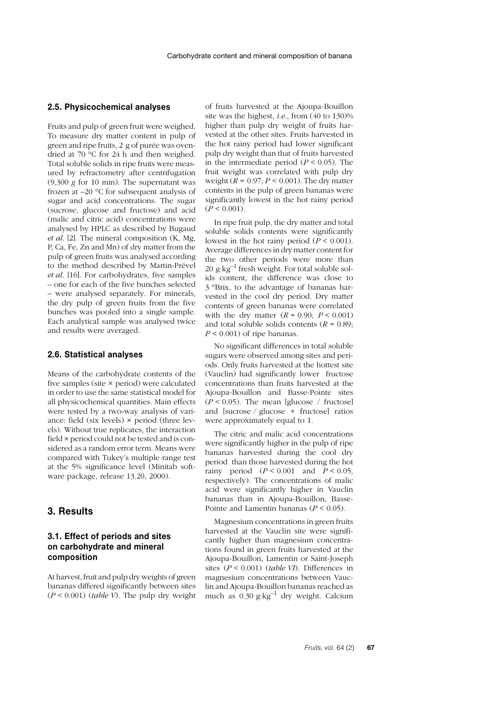### **2.5. Physicochemical analyses**

Fruits and pulp of green fruit were weighed. To measure dry matter content in pulp of green and ripe fruits, 2 g of purée was ovendried at 70 °C for 24 h and then weighed. Total soluble solids in ripe fruits were measured by refractometry after centrifugation (9,300 *g* for 10 min). The supernatant was frozen at –20 °C for subsequent analysis of sugar and acid concentrations. The sugar (sucrose, glucose and fructose) and acid (malic and citric acid) concentrations were analysed by HPLC as described by Bugaud *et al*. [2]. The mineral composition (K, Mg, P, Ca, Fe, Zn and Mn) of dry matter from the pulp of green fruits was analysed according to the method described by Martin-Prével *et al.* [16]. For carbohydrates, five samples – one for each of the five bunches selected – were analysed separately. For minerals, the dry pulp of green fruits from the five bunches was pooled into a single sample. Each analytical sample was analysed twice and results were averaged.

### **2.6. Statistical analyses**

Means of the carbohydrate contents of the five samples (site × period) were calculated in order to use the same statistical model for all physicochemical quantities. Main effects were tested by a two-way analysis of variance: field (six levels) × period (three levels). Without true replicates, the interaction field × period could not be tested and is considered as a random error term. Means were compared with Tukey's multiple range test at the 5% significance level (Minitab software package, release 13.20, 2000).

# **3. Results**

## **3.1. Effect of periods and sites on carbohydrate and mineral composition**

At harvest, fruit and pulp dry weights of green bananas differed significantly between sites (*P* < 0.001) (*table V*). The pulp dry weight of fruits harvested at the Ajoupa-Bouillon site was the highest, *i.e*., from (40 to 130)% higher than pulp dry weight of fruits harvested at the other sites. Fruits harvested in the hot rainy period had lower significant pulp dry weight than that of fruits harvested in the intermediate period  $(P < 0.05)$ . The fruit weight was correlated with pulp dry weight  $(R = 0.97; P \le 0.001)$ . The dry matter contents in the pulp of green bananas were significantly lowest in the hot rainy period  $(P < 0.001)$ .

In ripe fruit pulp, the dry matter and total soluble solids contents were significantly lowest in the hot rainy period  $(P < 0.001)$ . Average differences in dry matter content for the two other periods were more than 20  $g \text{ kg}^{-1}$  fresh weight. For total soluble solids content, the difference was close to 3 °Brix, to the advantage of bananas harvested in the cool dry period. Dry matter contents of green bananas were correlated with the dry matter  $(R = 0.90; P \le 0.001)$ and total soluble solids contents  $(R = 0.89)$ ;  $P \leq 0.001$  of ripe bananas.

No significant differences in total soluble sugars were observed among sites and periods. Only fruits harvested at the hottest site (Vauclin) had significantly lower fructose concentrations than fruits harvested at the Ajoupa-Bouillon and Basse-Pointe sites  $(P < 0.05)$ . The mean [glucose / fructose] and [sucrose / glucose + fructose] ratios were approximately equal to 1.

The citric and malic acid concentrations were significantly higher in the pulp of ripe bananas harvested during the cool dry period than those harvested during the hot rainy period  $(P < 0.001$  and  $P < 0.05$ , respectively). The concentrations of malic acid were significantly higher in Vauclin bananas than in Ajoupa-Bouillon, Basse-Pointe and Lamentin bananas (*P* < 0.05).

Magnesium concentrations in green fruits harvested at the Vauclin site were significantly higher than magnesium concentrations found in green fruits harvested at the Ajoupa-Bouillon, Lamentin or Saint-Joseph sites (*P* < 0.001) (*table VI*). Differences in magnesium concentrations between Vauclin and Ajoupa-Bouillon bananas reached as much as  $0.30$  g·kg<sup>-1</sup> dry weight. Calcium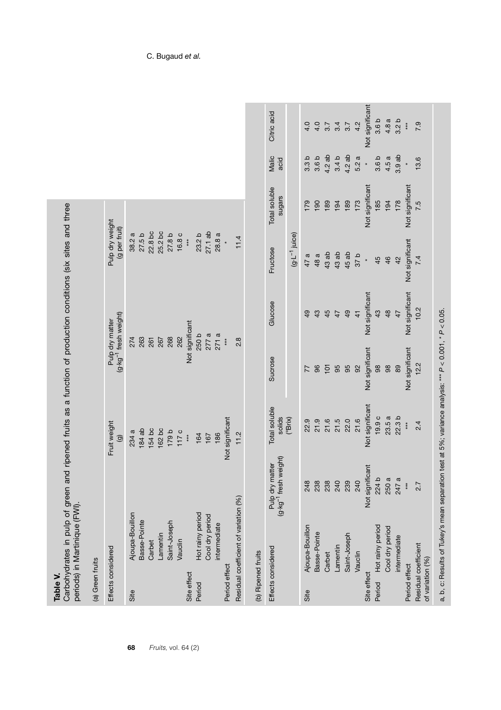| ۹<br>D |
|--------|
|        |
|        |

Carbohydrates in pulp of green and ripened fruits as a function of production conditions (six sites and three periods) in Martinique (FWI).

| ≌<br>ŗ |
|--------|
|        |
| ikl,   |
|        |
| ag     |
|        |
|        |
|        |

**68** *Fruits,* vol. 64 (2)

| Effects considered                       |                                       |                                                      | Fruit weight            | Pulp dry matter                   |                 | Pulp dry weight       |                         |                  |                  |
|------------------------------------------|---------------------------------------|------------------------------------------------------|-------------------------|-----------------------------------|-----------------|-----------------------|-------------------------|------------------|------------------|
|                                          |                                       |                                                      | $\widehat{\mathbf{G}}$  | (g·kg <sup>-1</sup> fresh weight) |                 | (g per fruit)         |                         |                  |                  |
|                                          | Ajoupa-Bouillon                       |                                                      | 234 a                   | 274                               |                 | 38.2a                 |                         |                  |                  |
|                                          | Basse-Pointe                          |                                                      | $184$ ab                | 263                               |                 | 27.5 b                |                         |                  |                  |
|                                          | Carbet                                |                                                      | 154 bc                  | 261                               |                 | 22.8 bc               |                         |                  |                  |
|                                          | Lamentin                              |                                                      | 162 bc                  | 267                               |                 | 25.2 bc               |                         |                  |                  |
|                                          | Saint-Joseph                          |                                                      | 179 b                   | 268                               |                 | 27.8 b                |                         |                  |                  |
|                                          | Vauclin                               |                                                      | 117c                    | 262                               |                 | 16.8 c                |                         |                  |                  |
| Site effect                              |                                       |                                                      | $**$                    | Not significant                   |                 | $***$                 |                         |                  |                  |
|                                          | Hot rainy period                      |                                                      | 164                     | 250 b                             |                 | 23.2 <sub>b</sub>     |                         |                  |                  |
|                                          | Cool dry period                       |                                                      | 167                     | 277a                              |                 | $27.1$ ab             |                         |                  |                  |
|                                          | ntermediate                           |                                                      | 186                     | 271a                              |                 | 28.8a                 |                         |                  |                  |
| Period effect                            |                                       |                                                      | Not significant         | $***$                             |                 |                       |                         |                  |                  |
|                                          | Residual coefficient of variation (%) |                                                      | 11.2                    | $\frac{8}{2}$                     |                 | 11.4                  |                         |                  |                  |
| Effects considered                       |                                       | Pulp dry matter<br>(g·kg <sup>-1</sup> fresh weight) | Total soluble<br>solids | Sucrose                           | Glucose         | Fructose              | Total soluble<br>sugars | Malic<br>acid    | Citric acid      |
|                                          |                                       |                                                      | $(^{\circ}Brix)$        |                                   |                 | $(g - L^{-1})$ juice) |                         |                  |                  |
|                                          | Ajoupa-Bouillon                       | 248                                                  | 22.9                    | 77                                | $\overline{9}$  | 47 a                  | 179                     | 3.3 <sub>b</sub> | 4.0              |
|                                          | Basse-Pointe                          | 238                                                  | 21.9                    | 96                                | 43              | 48 a                  | 190                     | 3.6 <sub>b</sub> | 4.0              |
| Carbet                                   |                                       | 238                                                  | 21.6                    | 101                               | 45              | 43 ab                 | 189                     | 4.2 ab           | 3.7              |
| Lamentin                                 |                                       | 240                                                  | 21.5                    | 95                                | 47              | 43 ab                 | 194                     | 3.4 <sub>b</sub> | 3.4              |
|                                          | Saint-Joseph                          | 239                                                  | 22.0                    | 95                                | 49              | 45 ab                 | 189                     | 4.2 ab           | 3.7              |
| Vauclin                                  |                                       | 240                                                  | 21.6                    | 92                                | $\frac{4}{1}$   | d25                   | 173                     | 5.2 a            | 4.2              |
| Site effect                              |                                       | Not significant                                      | Not significant         | Not significant                   | Not significant | $\ast$                | Not significant         | $\ast$           | Not significant  |
|                                          | Hot rainy period                      | 2241                                                 | 19.9c                   | 98                                | 43              | 45                    | 185                     | 3.6 <sub>b</sub> | 3.6 <sub>b</sub> |
|                                          | Cool dry period                       | 250 a                                                | 23.5a                   | 98                                | 48              | 46                    | 194                     | 4.5 a            | 4.8a             |
|                                          | intermediate                          | 247 a                                                | 22.3 <sub>b</sub>       | 89                                | 47              | 42                    | 178                     | 3.9ab            | 3.2 <sub>b</sub> |
| Period effect                            |                                       | $***$                                                | $**$                    | Not significant                   | Not significant | Not significant       | Not significant         |                  | $***$            |
| Residual coefficient<br>of variation (%) |                                       | 2.7                                                  | 2.4                     | 12.2                              | 10.2            | 7.4                   | 7.5                     | 13.6             | 7.9              |

# C. Bugaud *et al.*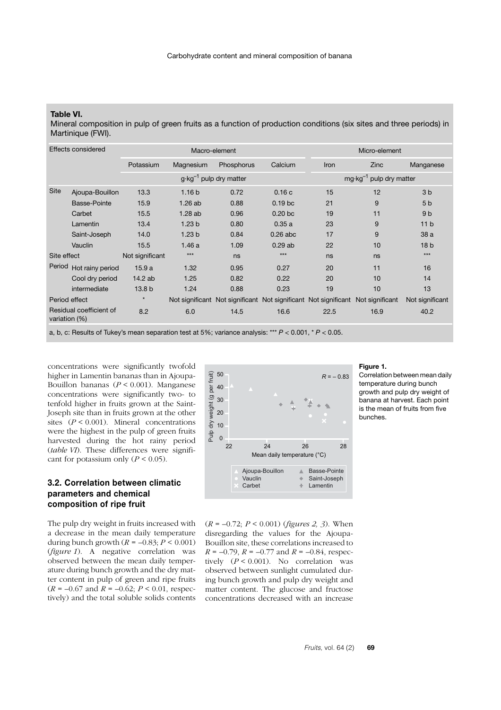### **Table VI.**

Mineral composition in pulp of green fruits as a function of production conditions (six sites and three periods) in Martinique (FWI).

| Effects considered |                                |                   |                   | Macro-element                     |                    | Micro-element                   |                                    |                 |  |
|--------------------|--------------------------------|-------------------|-------------------|-----------------------------------|--------------------|---------------------------------|------------------------------------|-----------------|--|
|                    |                                | Potassium         | Magnesium         | Phosphorus                        | Calcium            | <b>Iron</b>                     | Zinc                               | Manganese       |  |
|                    |                                |                   |                   | $g \cdot kg^{-1}$ pulp dry matter |                    |                                 | $mg \cdot kg^{-1}$ pulp dry matter |                 |  |
| <b>Site</b>        | Ajoupa-Bouillon                | 13.3              | 1.16 <sub>b</sub> | 0.72                              | 0.16c              | 15                              | 12                                 | 3 <sub>b</sub>  |  |
|                    | Basse-Pointe                   | 15.9              | 1.26ab            | 0.88                              | 0.19 <sub>bc</sub> | 21                              | 9                                  | 5 <sub>b</sub>  |  |
|                    | Carbet                         | 15.5              | 1.28ab            | 0.96                              | 0.20 <sub>b</sub>  | 19                              | 11                                 | 9 <sub>b</sub>  |  |
|                    | Lamentin                       | 13.4              | 1.23 <sub>b</sub> | 0.80                              | 0.35a              | 23                              | 9                                  | 11 <sub>b</sub> |  |
|                    | Saint-Joseph                   | 14.0              | 1.23 <sub>b</sub> | 0.84                              | $0.26$ abc         | 17                              | 9                                  | 38 a            |  |
|                    | Vauclin                        | 15.5              | 1.46a             | 1.09                              | 0.29ab             | 22                              | 10                                 | 18 <sub>b</sub> |  |
|                    | Site effect<br>Not significant |                   | $***$             | ns                                | $***$              | ns                              | ns                                 | $***$           |  |
| Period             | Hot rainy period               | 15.9a             | 1.32              | 0.95                              | 0.27               | 20                              | 11                                 | 16              |  |
|                    | Cool dry period                | 14.2 ab           | 1.25              | 0.82                              | 0.22               | 20                              | 10                                 | 14              |  |
|                    | intermediate                   | 13.8 <sub>b</sub> | 1.24              | 0.88                              | 0.23               | 19                              | 10                                 | 13              |  |
| Period effect      |                                | $\star$           |                   | Not significant Not significant   |                    | Not significant Not significant | Not significant                    | Not significant |  |
| variation (%)      | Residual coefficient of        | 8.2               | 6.0               | 14.5                              | 16.6               | 22.5                            | 16.9                               | 40.2            |  |

a, b, c: Results of Tukey's mean separation test at 5%; variance analysis: \*\*\* *P* < 0.001, \* *P* < 0.05.

concentrations were significantly twofold higher in Lamentin bananas than in Ajoupa-Bouillon bananas (*P* < 0.001). Manganese concentrations were significantly two- to tenfold higher in fruits grown at the Saint-Joseph site than in fruits grown at the other sites (*P* < 0.001). Mineral concentrations were the highest in the pulp of green fruits harvested during the hot rainy period (*table VI*). These differences were significant for potassium only  $(P < 0.05)$ .

## **3.2. Correlation between climatic parameters and chemical composition of ripe fruit**

The pulp dry weight in fruits increased with a decrease in the mean daily temperature during bunch growth  $(R = -0.83; P \le 0.001)$ (*figure 1*). A negative correlation was observed between the mean daily temperature during bunch growth and the dry matter content in pulp of green and ripe fruits  $(R = -0.67$  and  $R = -0.62$ ;  $P < 0.01$ , respectively) and the total soluble solids contents



#### **Figure 1.**

Correlation between mean daily temperature during bunch growth and pulp dry weight of banana at harvest. Each point is the mean of fruits from five bunches.

(*R* = –0.72; *P* < 0.001) (*figures 2, 3*). When disregarding the values for the Ajoupa-Bouillon site, these correlations increased to  $R = -0.79$ ,  $R = -0.77$  and  $R = -0.84$ , respectively  $(P < 0.001)$ . No correlation was observed between sunlight cumulated during bunch growth and pulp dry weight and matter content. The glucose and fructose concentrations decreased with an increase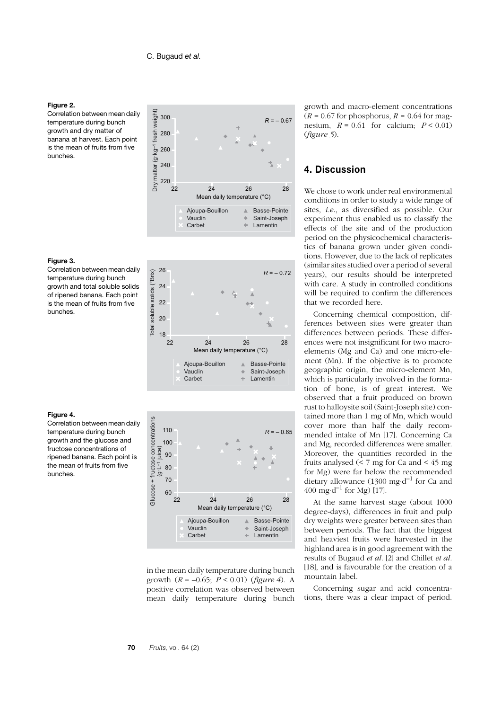#### **Figure 2.**

Correlation between mean daily temperature during bunch growth and dry matter of banana at harvest. Each point is the mean of fruits from five bunches.



### **Figure 3.**

Correlation between mean daily temperature during bunch growth and total soluble solids of ripened banana. Each point is the mean of fruits from five bunches.





in the mean daily temperature during bunch growth  $(R = -0.65; P < 0.01)$  (*figure 4*). A positive correlation was observed between mean daily temperature during bunch

growth and macro-element concentrations  $(R = 0.67$  for phosphorus,  $R = 0.64$  for magnesium,  $R = 0.61$  for calcium;  $P \le 0.01$ ) (*figure 5*).

# **4. Discussion**

We chose to work under real environmental conditions in order to study a wide range of sites, *i.e*., as diversified as possible. Our experiment thus enabled us to classify the effects of the site and of the production period on the physicochemical characteristics of banana grown under given conditions. However, due to the lack of replicates (similar sites studied over a period of several years), our results should be interpreted with care. A study in controlled conditions will be required to confirm the differences that we recorded here.

Concerning chemical composition, differences between sites were greater than differences between periods. These differences were not insignificant for two macroelements (Mg and Ca) and one micro-element (Mn). If the objective is to promote geographic origin, the micro-element Mn, which is particularly involved in the formation of bone, is of great interest. We observed that a fruit produced on brown rust to halloysite soil (Saint-Joseph site) contained more than 1 mg of Mn, which would cover more than half the daily recommended intake of Mn [17]. Concerning Ca and Mg, recorded differences were smaller. Moreover, the quantities recorded in the fruits analysed  $(< 7 \text{ mg}$  for Ca and  $< 45 \text{ mg}$ for Mg) were far below the recommended dietary allowance (1300 mg·d<sup>-1</sup> for Ca and 400 mg·d<sup>-1</sup> for Mg) [17].

At the same harvest stage (about 1000 degree-days), differences in fruit and pulp dry weights were greater between sites than between periods. The fact that the biggest and heaviest fruits were harvested in the highland area is in good agreement with the results of Bugaud *et al.* [2] and Chillet *et al.* [18], and is favourable for the creation of a mountain label.

Concerning sugar and acid concentrations, there was a clear impact of period.

### **Figure 4.**

Correlation between mean daily temperature during bunch growth and the glucose and fructose concentrations of ripened banana. Each point is the mean of fruits from five bunches.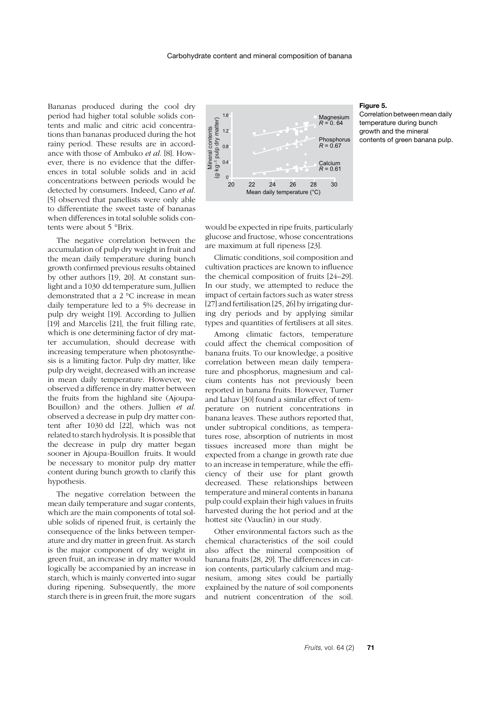Bananas produced during the cool dry period had higher total soluble solids contents and malic and citric acid concentrations than bananas produced during the hot rainy period. These results are in accordance with those of Ambuko *et al*. [8]. However, there is no evidence that the differences in total soluble solids and in acid concentrations between periods would be detected by consumers. Indeed, Cano *et al*. [5] observed that panellists were only able to differentiate the sweet taste of bananas when differences in total soluble solids contents were about 5 °Brix.

The negative correlation between the accumulation of pulp dry weight in fruit and the mean daily temperature during bunch growth confirmed previous results obtained by other authors [19, 20]. At constant sunlight and a 1030 dd temperature sum, Jullien demonstrated that a 2 °C increase in mean daily temperature led to a 5% decrease in pulp dry weight [19]. According to Jullien [19] and Marcelis [21], the fruit filling rate, which is one determining factor of dry matter accumulation, should decrease with increasing temperature when photosynthesis is a limiting factor. Pulp dry matter, like pulp dry weight, decreased with an increase in mean daily temperature. However, we observed a difference in dry matter between the fruits from the highland site (Ajoupa-Bouillon) and the others. Jullien *et al*. observed a decrease in pulp dry matter content after 1030 dd [22], which was not related to starch hydrolysis. It is possible that the decrease in pulp dry matter began sooner in Ajoupa-Bouillon fruits. It would be necessary to monitor pulp dry matter content during bunch growth to clarify this hypothesis.

The negative correlation between the mean daily temperature and sugar contents, which are the main components of total soluble solids of ripened fruit, is certainly the consequence of the links between temperature and dry matter in green fruit. As starch is the major component of dry weight in green fruit, an increase in dry matter would logically be accompanied by an increase in starch, which is mainly converted into sugar during ripening. Subsequently, the more starch there is in green fruit, the more sugars



would be expected in ripe fruits, particularly glucose and fructose, whose concentrations are maximum at full ripeness [23].

Climatic conditions, soil composition and cultivation practices are known to influence the chemical composition of fruits [24–29]. In our study, we attempted to reduce the impact of certain factors such as water stress [27] and fertilisation [25, 26] by irrigating during dry periods and by applying similar types and quantities of fertilisers at all sites.

Among climatic factors, temperature could affect the chemical composition of banana fruits. To our knowledge, a positive correlation between mean daily temperature and phosphorus, magnesium and calcium contents has not previously been reported in banana fruits. However, Turner and Lahav [30] found a similar effect of temperature on nutrient concentrations in banana leaves. These authors reported that, under subtropical conditions, as temperatures rose, absorption of nutrients in most tissues increased more than might be expected from a change in growth rate due to an increase in temperature, while the efficiency of their use for plant growth decreased. These relationships between temperature and mineral contents in banana pulp could explain their high values in fruits harvested during the hot period and at the hottest site (Vauclin) in our study.

Other environmental factors such as the chemical characteristics of the soil could also affect the mineral composition of banana fruits [28, 29]. The differences in cation contents, particularly calcium and magnesium, among sites could be partially explained by the nature of soil components and nutrient concentration of the soil.

#### **Figure 5.**

Correlation between mean daily temperature during bunch growth and the mineral contents of green banana pulp.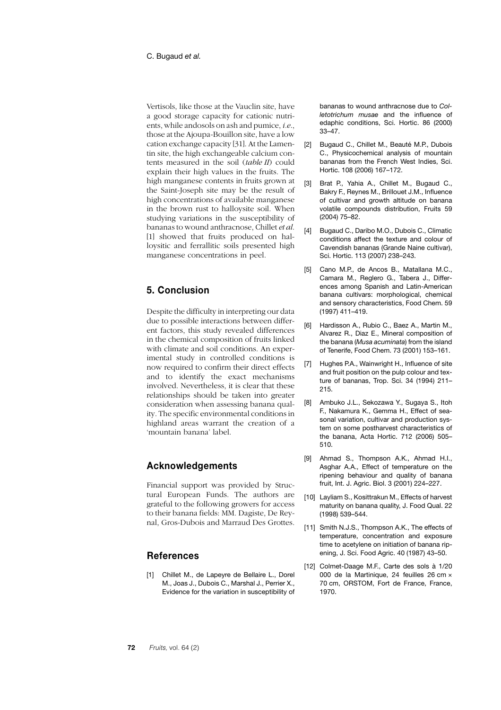Vertisols, like those at the Vauclin site, have a good storage capacity for cationic nutrients, while andosols on ash and pumice, *i.e*., those at the Ajoupa-Bouillon site, have a low cation exchange capacity [31]. At the Lamentin site, the high exchangeable calcium contents measured in the soil (*table II*) could explain their high values in the fruits. The high manganese contents in fruits grown at the Saint-Joseph site may be the result of high concentrations of available manganese in the brown rust to halloysite soil. When studying variations in the susceptibility of bananas to wound anthracnose, Chillet *et al*. [1] showed that fruits produced on halloysitic and ferrallitic soils presented high manganese concentrations in peel.

# **5. Conclusion**

Despite the difficulty in interpreting our data due to possible interactions between different factors, this study revealed differences in the chemical composition of fruits linked with climate and soil conditions. An experimental study in controlled conditions is now required to confirm their direct effects and to identify the exact mechanisms involved. Nevertheless, it is clear that these relationships should be taken into greater consideration when assessing banana quality. The specific environmental conditions in highland areas warrant the creation of a 'mountain banana' label.

# **Acknowledgements**

Financial support was provided by Structural European Funds. The authors are grateful to the following growers for access to their banana fields: MM. Dagiste, De Reynal, Gros-Dubois and Marraud Des Grottes.

## **References**

[1] Chillet M., de Lapeyre de Bellaire L., Dorel M., Joas J., Dubois C., Marshal J., Perrier X., Evidence for the variation in susceptibility of bananas to wound anthracnose due to *Colletotrichum musae* and the influence of edaphic conditions, Sci. Hortic. 86 (2000) 33–47.

- [2] Bugaud C., Chillet M., Beauté M.P., Dubois C., Physicochemical analysis of mountain bananas from the French West Indies, Sci. Hortic. 108 (2006) 167–172.
- [3] Brat P., Yahia A., Chillet M., Bugaud C., Bakry F., Reynes M., Brillouet J.M., Influence of cultivar and growth altitude on banana volatile compounds distribution, Fruits 59 (2004) 75–82.
- [4] Bugaud C., Daribo M.O., Dubois C., Climatic conditions affect the texture and colour of Cavendish bananas (Grande Naine cultivar), Sci. Hortic. 113 (2007) 238–243.
- [5] Cano M.P., de Ancos B., Matallana M.C., Camara M., Reglero G., Tabera J., Differences among Spanish and Latin-American banana cultivars: morphological, chemical and sensory characteristics, Food Chem. 59 (1997) 411–419.
- [6] Hardisson A., Rubio C., Baez A., Martin M., Alvarez R., Diaz E., Mineral composition of the banana (*Musa acuminata*) from the island of Tenerife, Food Chem. 73 (2001) 153–161.
- Hughes P.A., Wainwright H., Influence of site and fruit position on the pulp colour and texture of bananas, Trop. Sci. 34 (1994) 211– 215.
- [8] Ambuko J.L., Sekozawa Y., Sugaya S., Itoh F., Nakamura K., Gemma H., Effect of seasonal variation, cultivar and production system on some postharvest characteristics of the banana, Acta Hortic. 712 (2006) 505– 510.
- [9] Ahmad S., Thompson A.K., Ahmad H.I., Asghar A.A., Effect of temperature on the ripening behaviour and quality of banana fruit, Int. J. Agric. Biol. 3 (2001) 224–227.
- [10] Layliam S., Kosittrakun M., Effects of harvest maturity on banana quality, J. Food Qual. 22 (1998) 539–544.
- [11] Smith N.J.S., Thompson A.K., The effects of temperature, concentration and exposure time to acetylene on initiation of banana ripening, J. Sci. Food Agric. 40 (1987) 43–50.
- [12] Colmet-Daage M.F., Carte des sols à 1/20 000 de la Martinique, 24 feuilles 26 cm × 70 cm, ORSTOM, Fort de France, France, 1970.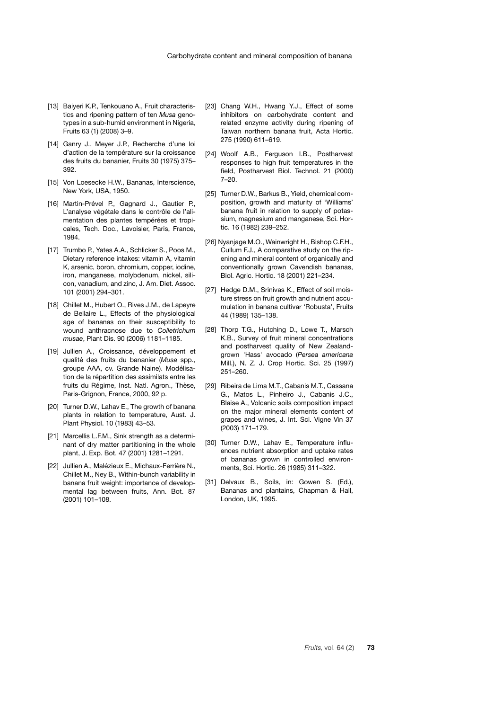- [13] Baiyeri K.P., Tenkouano A., Fruit characteristics and ripening pattern of ten *Musa* genotypes in a sub-humid environment in Nigeria, Fruits 63 (1) (2008) 3–9.
- [14] Ganry J., Meyer J.P., Recherche d'une loi d'action de la température sur la croissance des fruits du bananier, Fruits 30 (1975) 375– 392.
- [15] Von Loesecke H.W., Bananas, Interscience, New York, USA, 1950.
- [16] Martin-Prével P., Gagnard J., Gautier P., L'analyse végétale dans le contrôle de l'alimentation des plantes tempérées et tropicales, Tech. Doc., Lavoisier, Paris, France, 1984.
- [17] Trumbo P., Yates A.A., Schlicker S., Poos M., Dietary reference intakes: vitamin A, vitamin K, arsenic, boron, chromium, copper, iodine, iron, manganese, molybdenum, nickel, silicon, vanadium, and zinc, J. Am. Diet. Assoc. 101 (2001) 294–301.
- [18] Chillet M., Hubert O., Rives J.M., de Lapeyre de Bellaire L., Effects of the physiological age of bananas on their susceptibility to wound anthracnose due to *Colletrichum musae*, Plant Dis. 90 (2006) 1181–1185.
- [19] Jullien A., Croissance, développement et qualité des fruits du bananier (*Musa* spp., groupe AAA, cv. Grande Naine). Modélisation de la répartition des assimilats entre les fruits du Régime, Inst. Natl. Agron., Thèse, Paris-Grignon, France, 2000, 92 p.
- [20] Turner D.W., Lahav E., The growth of banana plants in relation to temperature, Aust. J. Plant Physiol. 10 (1983) 43–53.
- [21] Marcellis L.F.M., Sink strength as a determinant of dry matter partitioning in the whole plant, J. Exp. Bot. 47 (2001) 1281–1291.
- [22] Jullien A., Malézieux E., Michaux-Ferrière N., Chillet M., Ney B., Within-bunch variability in banana fruit weight: importance of developmental lag between fruits, Ann. Bot. 87 (2001) 101–108.
- [23] Chang W.H., Hwang Y.J., Effect of some inhibitors on carbohydrate content and related enzyme activity during ripening of Taiwan northern banana fruit, Acta Hortic. 275 (1990) 611–619.
- [24] Woolf A.B., Ferguson I.B., Postharvest responses to high fruit temperatures in the field, Postharvest Biol. Technol. 21 (2000) 7–20.
- [25] Turner D.W., Barkus B., Yield, chemical composition, growth and maturity of 'Williams' banana fruit in relation to supply of potassium, magnesium and manganese, Sci. Hortic. 16 (1982) 239–252.
- [26] Nyanjage M.O., Wainwright H., Bishop C.F.H., Cullum F.J., A comparative study on the ripening and mineral content of organically and conventionally grown Cavendish bananas, Biol. Agric. Hortic. 18 (2001) 221–234.
- [27] Hedge D.M., Srinivas K., Effect of soil moisture stress on fruit growth and nutrient accumulation in banana cultivar 'Robusta', Fruits 44 (1989) 135–138.
- [28] Thorp T.G., Hutching D., Lowe T., Marsch K.B., Survey of fruit mineral concentrations and postharvest quality of New Zealandgrown 'Hass' avocado (*Persea americana* Mill.), N. Z. J. Crop Hortic. Sci. 25 (1997) 251–260.
- [29] Ribeira de Lima M.T., Cabanis M.T., Cassana G., Matos L., Pinheiro J., Cabanis J.C., Blaise A., Volcanic soils composition impact on the major mineral elements content of grapes and wines, J. Int. Sci. Vigne Vin 37 (2003) 171–179.
- [30] Turner D.W., Lahav E., Temperature influences nutrient absorption and uptake rates of bananas grown in controlled environments, Sci. Hortic. 26 (1985) 311–322.
- [31] Delvaux B., Soils, in: Gowen S. (Ed.), Bananas and plantains, Chapman & Hall, London, UK, 1995.